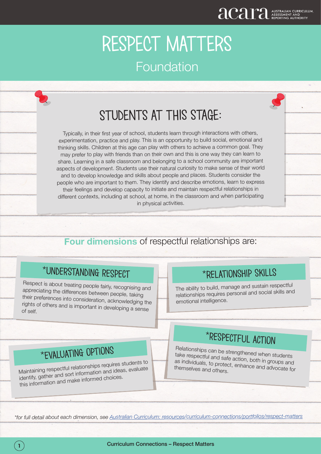## STUDENTS AT THIS STAGE:

Typically, in their first year of school, students learn through interactions with others, experimentation, practice and play. This is an opportunity to build social, emotional and thinking skills. Children at this age can play with others to achieve a common goal. They may prefer to play with friends than on their own and this is one way they can learn to share. Learning in a safe classroom and belonging to a school community are important aspects of development. Students use their natural curiosity to make sense of their world and to develop knowledge and skills about people and places. Students consider the people who are important to them. They identify and describe emotions, learn to express their feelings and develop capacity to initiate and maintain respectful relationships in different contexts, including at school, at home, in the classroom and when participating in physical activities.

### **Four dimensions** of respectful relationships are:

## \*Understanding respect

Respect is about treating people fairly, recognising and appreciating the differences between people, taking their preferences into consideration, acknowledging the rights of others and is important in developing a sense of self.

## \*Relationship skills

The ability to build, manage and sustain respectful relationships requires personal and social skills and emotional intelligence.

## \*evaluating options

Maintaining respectful relationships requires students to identify, gather and sort information and ideas, evaluate this information and make informed choices.

## \*respectful action

Relationships can be strengthened when students take respectful and safe action, both in groups and as individuals, to protect, enhance and advocate for themselves and others.

*\*for full detail about each dimension, see Australian Curriculum: resources/curriculum-connections/portfolios/respect-matters*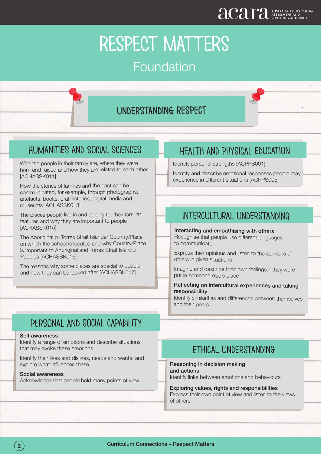### understanding respect

### Humanities and social sciences

Who the people in their family are, where they were born and raised and how they are related to each other [ACHASSK011]

How the stories of families and the past can be communicated, for example, through photographs, artefacts, books, oral histories, digital media and museums [ACHASSK013]

The places people live in and belong to, their familiar features and why they are important to people [ACHASSK015]

The Aboriginal or Torres Strait Islander Country/Place on which the school is located and why Country/Place is important to Aboriginal and Torres Strait Islander Peoples [ACHASSK016]

The reasons why some places are special to people, and how they can be looked after [ACHASSK017]

### Health and physical education

Identify personal strengths [ACPPS001]

Identify and describe emotional responses people may experience in different situations [ACPPS005]

### intercultural understanding

Interacting and empathising with others Recognise that people use different languages to communicate

Express their opinions and listen to the opinions of others in given situations

Imagine and describe their own feelings if they were put in someone else's place

### Reflecting on intercultural experiences and taking responsibility

Identify similarities and differences between themselves and their peers

### personal and social capability

#### Self awareness

Identify a range of emotions and describe situations that may evoke these emotions

Identify their likes and dislikes, needs and wants, and explore what influences these

#### Social awareness

Acknowledge that people hold many points of view

### ethical understanding

#### Reasoning in decision making and actions

Identify links between emotions and behaviours

### Exploring values, rights and responsibilities Express their own point of view and listen to the views of others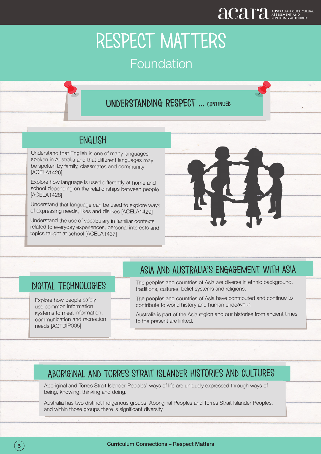### understanding respect ... continued

### **ENGLISH**

Understand that English is one of many languages spoken in Australia and that different languages may be spoken by family, classmates and community [ACELA1426]

Explore how language is used differently at home and school depending on the relationships between people [ACELA1428]

Understand that language can be used to explore ways of expressing needs, likes and dislikes [ACELA1429]

Understand the use of vocabulary in familiar contexts related to everyday experiences, personal interests and topics taught at school [ACELA1437]

l



### digital technologies

Explore how people safely use common information systems to meet information, communication and recreation needs [ACTDIP005]

ļ

### Asia and australia's engagement with asia

The peoples and countries of Asia are diverse in ethnic background, traditions, cultures, belief systems and religions.

The peoples and countries of Asia have contributed and continue to contribute to world history and human endeavour.

Australia is part of the Asia region and our histories from ancient times to the present are linked.

### Aboriginal and torres strait islander histories and cultures

Aboriginal and Torres Strait Islander Peoples' ways of life are uniquely expressed through ways of being, knowing, thinking and doing.

Australia has two distinct Indigenous groups: Aboriginal Peoples and Torres Strait Islander Peoples, and within those groups there is significant diversity.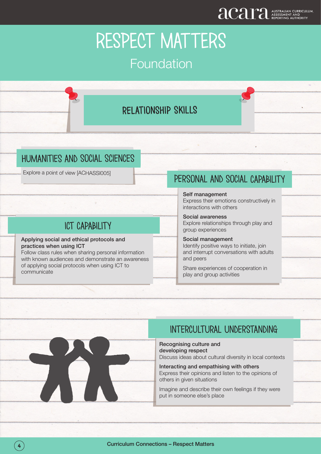## relationship skills

### humanities and social sciences

Explore a point of view [ACHASSI005]

### ict capability

#### Applying social and ethical protocols and practices when using ICT

Follow class rules when sharing personal information with known audiences and demonstrate an awareness of applying social protocols when using ICT to communicate

### personal and social capability

Self management Express their emotions constructively in interactions with others

Social awareness Explore relationships through play and group experiences

Social management Identify positive ways to initiate, join and interrupt conversations with adults and peers

Share experiences of cooperation in play and group activities



### Recognising culture and developing respect

Discuss ideas about cultural diversity in local contexts

Interacting and empathising with others Express their opinions and listen to the opinions of others in given situations

Imagine and describe their own feelings if they were put in someone else's place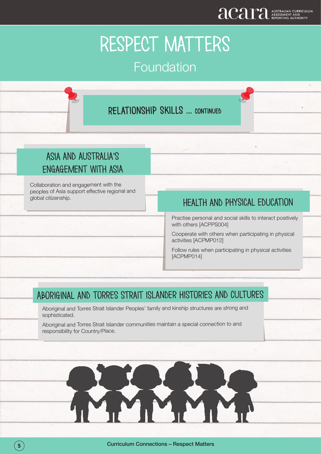### relationship skills ... continued

## Asia and australia's engagement with asia

Collaboration and engagement with the peoples of Asia support effective regional and global citizenship.

### Health and physical education

Practise personal and social skills to interact positively with others [ACPPS004]

Cooperate with others when participating in physical activities [ACPMP012]

Follow rules when participating in physical activities [ACPMP014]

### Aboriginal and torres strait islander histories and cultures

Aboriginal and Torres Strait Islander Peoples' family and kinship structures are strong and sophisticated.

Aboriginal and Torres Strait Islander communities maintain a special connection to and responsibility for Country/Place.



֦

Ļ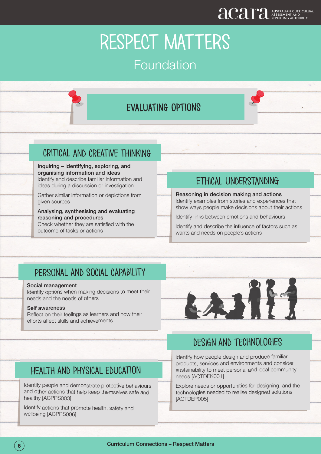## evaluating options

### critical and creative thinking

Inquiring – identifying, exploring, and organising information and ideas Identify and describe familiar information and ideas during a discussion or investigation

Gather similar information or depictions from given sources

Analysing, synthesising and evaluating reasoning and procedures Check whether they are satisfied with the

outcome of tasks or actions

### ethical understanding

Reasoning in decision making and actions Identify examples from stories and experiences that show ways people make decisions about their actions

Identify links between emotions and behaviours

Identify and describe the influence of factors such as wants and needs on people's actions

### personal and social capability

#### Social management

Identify options when making decisions to meet their needs and the needs of others

#### Self awareness

Reflect on their feelings as learners and how their efforts affect skills and achievements



### design and technologies

Identify how people design and produce familiar products, services and environments and consider sustainability to meet personal and local community needs [ACTDEK001]

Explore needs or opportunities for designing, and the technologies needed to realise designed solutions [ACTDEP005]

### Health and physical education

Identify people and demonstrate protective behaviours and other actions that help keep themselves safe and healthy [ACPPS003]

Identify actions that promote health, safety and wellbeing [ACPPS006]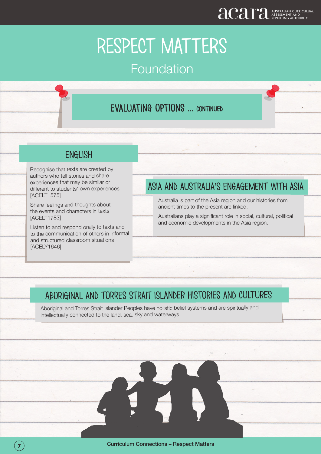# RESPECT MATTERS

## Foundation

## evaluating options ... continued

### **ENGLISH**

Recognise that texts are created by authors who tell stories and share experiences that may be similar or different to students' own experiences [ACELT1575]

Share feelings and thoughts about the events and characters in texts [ACELT1783]

ļ

Listen to and respond orally to texts and to the communication of others in informal and structured classroom situations [ACELY1646]

## Asia and australia's engagement with asia

Australia is part of the Asia region and our histories from ancient times to the present are linked.

Australians play a significant role in social, cultural, political and economic developments in the Asia region.

### Aboriginal and torres strait islander histories and cultures

Aboriginal and Torres Strait Islander Peoples have holistic belief systems and are spiritually and intellectually connected to the land, sea, sky and waterways.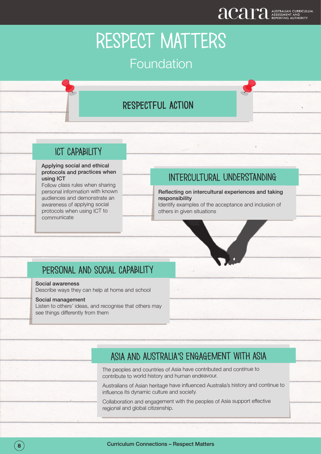## respectful action

### ict capability

#### Applying social and ethical protocols and practices when using ICT

Follow class rules when sharing personal information with known audiences and demonstrate an awareness of applying social protocols when using ICT to communicate

### Intercultural understanding

### Reflecting on intercultural experiences and taking responsibility

Identify examples of the acceptance and inclusion of others in given situations

### Personal and social capability

### Social awareness

Describe ways they can help at home and school

### Social management

Listen to others' ideas, and recognise that others may see things differently from them

ļ

### Asia and australia's engagement with asia

The peoples and countries of Asia have contributed and continue to contribute to world history and human endeavour.

Australians of Asian heritage have influenced Australia's history and continue to influence its dynamic culture and society.

Collaboration and engagement with the peoples of Asia support effective regional and global citizenship.